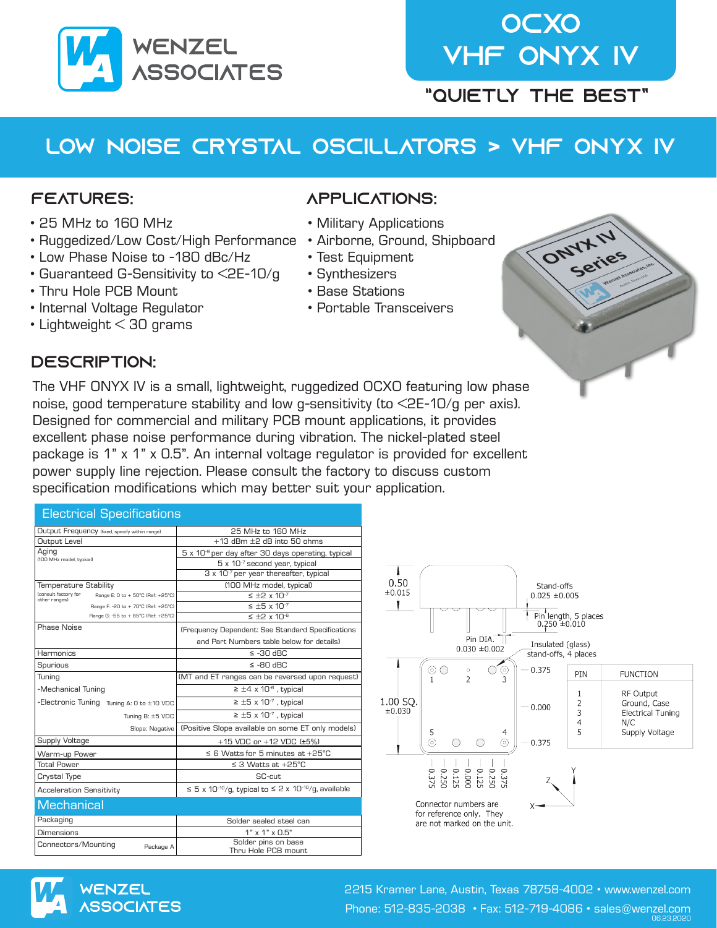

# **OCXO** VHF ONYX IV

"Quietly the Best"

## LOw noise crystal oscillators > VHF onyx iv

#### Features:

- 25 MHz to 160 MHz
- Ruggedized/Low Cost/High Performance
- Low Phase Noise to -180 dBc/Hz
- Guaranteed G-Sensitivity to <2E-10/g
- Thru Hole PCB Mount
- Internal Voltage Regulator
- Lightweight < 30 grams

#### Description:

#### applications:

- Military Applications
- Airborne, Ground, Shipboard
- Test Equipment
- Synthesizers
- Base Stations
- Portable Transceivers



The VHF ONYX IV is a small, lightweight, ruggedized OCXO featuring low phase noise, good temperature stability and low g-sensitivity (to <2E-10/g per axis). Designed for commercial and military PCB mount applications, it provides excellent phase noise performance during vibration. The nickel-plated steel package is 1" x 1" x 0.5". An internal voltage regulator is provided for excellent power supply line rejection. Please consult the factory to discuss custom specification modifications which may better suit your application.

| <b>Electrical Specifications</b>                                           |                                                                                        |  |  |  |  |  |
|----------------------------------------------------------------------------|----------------------------------------------------------------------------------------|--|--|--|--|--|
| Output Frequency (fixed, specify within range)                             | 25 MHz to 160 MHz                                                                      |  |  |  |  |  |
| Output Level                                                               | $+13$ dBm $\pm 2$ dB into 50 ohms                                                      |  |  |  |  |  |
| Aging                                                                      | 5 x 10 <sup>-9</sup> per day after 30 days operating, typical                          |  |  |  |  |  |
| (100 MHz model, typical)                                                   | 5 x 10 <sup>-7</sup> second year, typical                                              |  |  |  |  |  |
|                                                                            | 3 x 10 <sup>-7</sup> per year thereafter, typical                                      |  |  |  |  |  |
| <b>Temperature Stability</b>                                               | (100 MHz model, typical)                                                               |  |  |  |  |  |
| (consult factory for<br>Range E: 0 to + 50°C (Ref: +25°C)<br>other ranges) | $\leq$ +2 x 10 <sup>-7</sup>                                                           |  |  |  |  |  |
| Range F: -20 to + 70°C (Ref: +25°C)                                        | $\leq$ +5 x 10 <sup>-7</sup>                                                           |  |  |  |  |  |
| Range G: -55 to + 85°C (Ref: +25°C)                                        | $\leq$ +2 x 10 <sup>-6</sup>                                                           |  |  |  |  |  |
| Phase Noise                                                                | (Frequency Dependent: See Standard Specifications                                      |  |  |  |  |  |
|                                                                            | and Part Numbers table below for details)                                              |  |  |  |  |  |
| Harmonics                                                                  | $\le$ -30 dBC                                                                          |  |  |  |  |  |
| Spurious                                                                   | $SBD$ OB- $\geq$                                                                       |  |  |  |  |  |
| Tuning                                                                     | (MT and ET ranges can be reversed upon request)                                        |  |  |  |  |  |
| -Mechanical Tuning                                                         | $\geq \pm 4 \times 10^{-6}$ , typical                                                  |  |  |  |  |  |
| -Electronic Tuning Tuning A: 0 to ±10 VDC                                  | $\geq \pm 5 \times 10^{-7}$ , typical                                                  |  |  |  |  |  |
| Tuning B: ±5 VDC                                                           | $\geq \pm 5 \times 10^{-7}$ , typical                                                  |  |  |  |  |  |
| Slope: Negative                                                            | (Positive Slope available on some ET only models)                                      |  |  |  |  |  |
| Supply Voltage                                                             | +15 VDC or +12 VDC (±5%)                                                               |  |  |  |  |  |
| Warm-up Power                                                              | $\leq$ 6 Watts for 5 minutes at +25°C                                                  |  |  |  |  |  |
| <b>Total Power</b>                                                         | $\leq$ 3 Watts at +25°C                                                                |  |  |  |  |  |
| Crystal Type                                                               | SC-cut                                                                                 |  |  |  |  |  |
| <b>Acceleration Sensitivity</b>                                            | $\leq$ 5 x 10 <sup>-10</sup> /g, typical to $\leq$ 2 x 10 <sup>-10</sup> /g, available |  |  |  |  |  |
| <b>Mechanical</b>                                                          |                                                                                        |  |  |  |  |  |
| Packaging                                                                  | Solder sealed steel can                                                                |  |  |  |  |  |
| <b>Dimensions</b>                                                          | $1" \times 1" \times 0.5"$                                                             |  |  |  |  |  |
| Connectors/Mounting<br>Package A                                           | Solder pins on base<br>Thru Hole PCB mount                                             |  |  |  |  |  |





2215 Kramer Lane, Austin, Texas 78758-4002 • www.wenzel.com Phone: 512-835-2038 • Fax: 512-719-4086 • sales@wenzel.com 06.23.2020